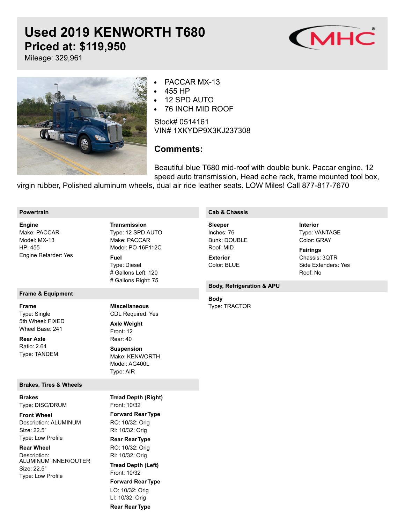# **Used 2019 KENWORTH T680 Priced at: \$119,950**



Type: VANTAGE Color: GRAY

Chassis: 3QTR Side Extenders: Yes

Roof: No

**Fairings**

**Interior**

Mileage: 329,961



- PACCAR MX-13
- 455 HP
- 12 SPD AUTO  $\bullet$
- 76 INCH MID ROOF  $\bullet$

Stock# 0514161 VIN# 1XKYDP9X3KJ237308

# **Comments:**

Beautiful blue T680 mid-roof with double bunk. Paccar engine, 12 speed auto transmission, Head ache rack, frame mounted tool box,

virgin rubber, Polished aluminum wheels, dual air ride leather seats. LOW Miles! Call 877-817-7670

#### **Powertrain**

Make: PACCAR Model: MX-13 HP: 455 Engine Retarder: Yes **Engine**

## **Frame & Equipment**

**Frame**

Type: Single 5th Wheel: FIXED Wheel Base: 241

Ratio: 2.64 Type: TANDEM **Rear Axle**

#### **Brakes, Tires & Wheels**

Type: DISC/DRUM **Brakes**

Description: ALUMINUM Size: 22.5" Type: Low Profile **Front Wheel**

**Rear Wheel**

Description: ALUMINUM INNER/OUTER Size: 22.5" Type: Low Profile

Type: 12 SPD AUTO Make: PACCAR Model: PO-16F112C **Transmission**

Type: Diesel # Gallons Left: 120 # Gallons Right: 75 **Fuel**

# **Miscellaneous**

CDL Required: Yes Front: 12 Rear: 40 **Axle Weight Suspension**

Make: KENWORTH Model: AG400L Type: AIR

# **Cab & Chassis**

Inches: 76 Bunk: DOUBLE Roof: MID **Sleeper**

Color: BLUE **Exterior**

### **Body, Refrigeration & APU**

Type: TRACTOR **Body**

Front: 10/32 **Forward RearType** RO: 10/32: Orig RI: 10/32: Orig **Rear RearType** RO: 10/32: Orig RI: 10/32: Orig Front: 10/32 **Forward RearType** LO: 10/32: Orig LI: 10/32: Orig **Rear RearType Tread Depth (Right) Tread Depth (Left)**